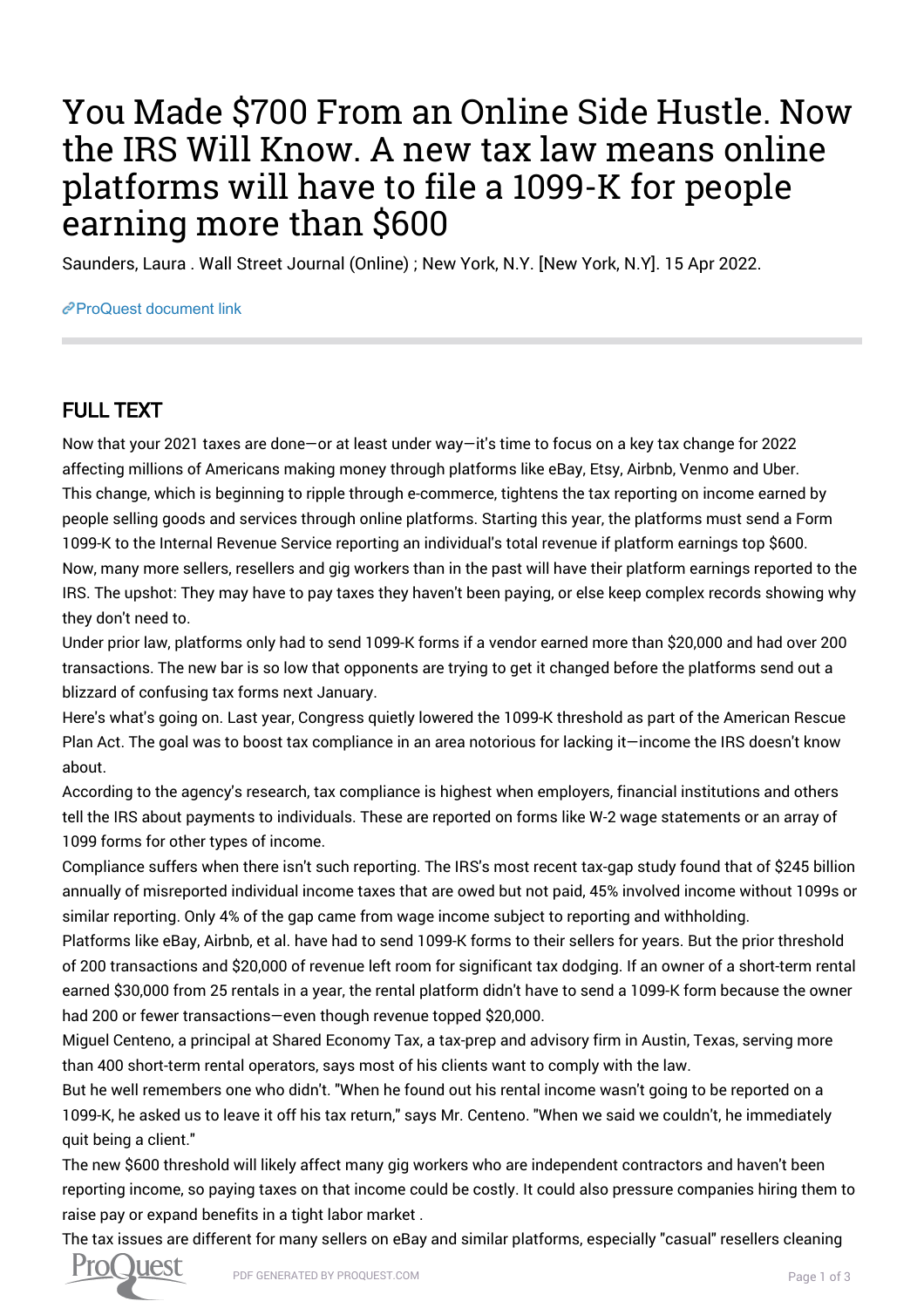## You Made \$700 From an Online Side Hustle. Now the IRS Will Know. A new tax law means online platforms will have to file a 1099-K for people earning more than \$600

Saunders, Laura . Wall Street Journal (Online) ; New York, N.Y. [New York, N.Y]. 15 Apr 2022.

## [ProQuest document link](https://www.proquest.com/newspapers/you-made-700-online-side-hustle-now-irs-will-know/docview/2650189313/se-2?accountid=44910)

## FULL TEXT

Now that your 2021 taxes are done—or at least under way—it's time to focus on a key tax change for 2022 affecting millions of Americans making money through platforms like eBay, Etsy, Airbnb, Venmo and Uber. This change, which is beginning to ripple through e-commerce, tightens the tax reporting on income earned by people selling goods and services through online platforms. Starting this year, the platforms must send a Form 1099-K to the Internal Revenue Service reporting an individual's total revenue if platform earnings top \$600. Now, many more sellers, resellers and gig workers than in the past will have their platform earnings reported to the IRS. The upshot: They may have to pay taxes they haven't been paying, or else keep complex records showing why they don't need to.

Under prior law, platforms only had to send 1099-K forms if a vendor earned more than \$20,000 and had over 200 transactions. The new bar is so low that opponents are trying to get it changed before the platforms send out a blizzard of confusing tax forms next January.

Here's what's going on. Last year, Congress quietly lowered the 1099-K threshold as part of the American Rescue Plan Act. The goal was to boost tax compliance in an area notorious for lacking it—income the IRS doesn't know about.

According to the agency's research, tax compliance is highest when employers, financial institutions and others tell the IRS about payments to individuals. These are reported on forms like W-2 wage statements or an array of 1099 forms for other types of income.

Compliance suffers when there isn't such reporting. The IRS's most recent tax-gap study found that of \$245 billion annually of misreported individual income taxes that are owed but not paid, 45% involved income without 1099s or similar reporting. Only 4% of the gap came from wage income subject to reporting and withholding.

Platforms like eBay, Airbnb, et al. have had to send 1099-K forms to their sellers for years. But the prior threshold of 200 transactions and \$20,000 of revenue left room for significant tax dodging. If an owner of a short-term rental earned \$30,000 from 25 rentals in a year, the rental platform didn't have to send a 1099-K form because the owner had 200 or fewer transactions—even though revenue topped \$20,000.

Miguel Centeno, a principal at Shared Economy Tax, a tax-prep and advisory firm in Austin, Texas, serving more than 400 short-term rental operators, says most of his clients want to comply with the law.

But he well remembers one who didn't. "When he found out his rental income wasn't going to be reported on a 1099-K, he asked us to leave it off his tax return," says Mr. Centeno. "When we said we couldn't, he immediately quit being a client."

The new \$600 threshold will likely affect many gig workers who are independent contractors and haven't been reporting income, so paying taxes on that income could be costly. It could also pressure companies hiring them to raise pay or expand benefits in a tight labor market .

The tax issues are different for many sellers on eBay and similar platforms, especially "casual" resellers cleaning

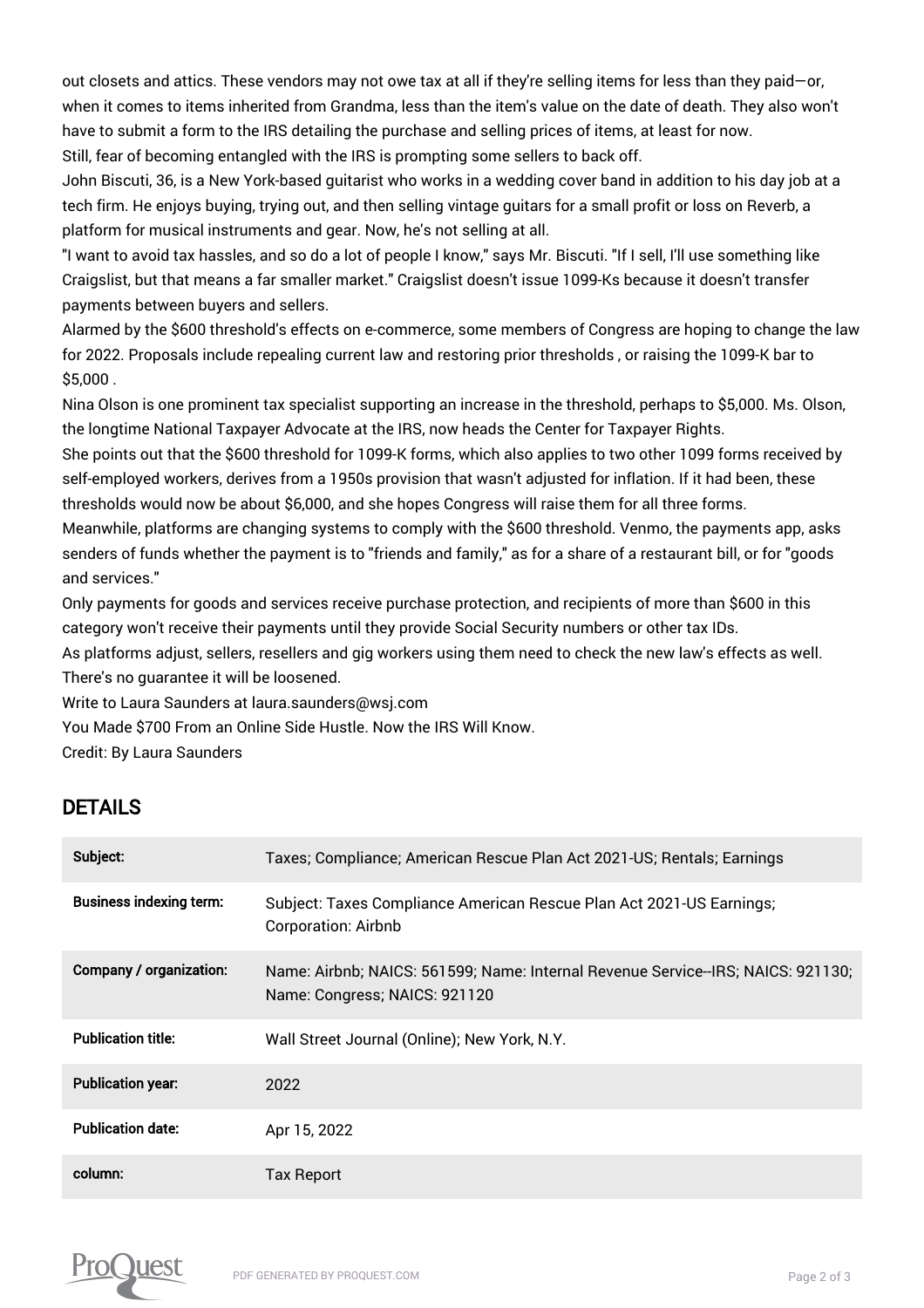out closets and attics. These vendors may not owe tax at all if they're selling items for less than they paid—or, when it comes to items inherited from Grandma, less than the item's value on the date of death. They also won't have to submit a form to the IRS detailing the purchase and selling prices of items, at least for now. Still, fear of becoming entangled with the IRS is prompting some sellers to back off.

John Biscuti, 36, is a New York-based guitarist who works in a wedding cover band in addition to his day job at a tech firm. He enjoys buying, trying out, and then selling vintage guitars for a small profit or loss on Reverb, a platform for musical instruments and gear. Now, he's not selling at all.

"I want to avoid tax hassles, and so do a lot of people I know," says Mr. Biscuti. "If I sell, I'll use something like Craigslist, but that means a far smaller market." Craigslist doesn't issue 1099-Ks because it doesn't transfer payments between buyers and sellers.

Alarmed by the \$600 threshold's effects on e-commerce, some members of Congress are hoping to change the law for 2022. Proposals include repealing current law and restoring prior thresholds , or raising the 1099-K bar to \$5,000 .

Nina Olson is one prominent tax specialist supporting an increase in the threshold, perhaps to \$5,000. Ms. Olson, the longtime National Taxpayer Advocate at the IRS, now heads the Center for Taxpayer Rights.

She points out that the \$600 threshold for 1099-K forms, which also applies to two other 1099 forms received by self-employed workers, derives from a 1950s provision that wasn't adjusted for inflation. If it had been, these thresholds would now be about \$6,000, and she hopes Congress will raise them for all three forms.

Meanwhile, platforms are changing systems to comply with the \$600 threshold. Venmo, the payments app, asks senders of funds whether the payment is to "friends and family," as for a share of a restaurant bill, or for "goods and services."

Only payments for goods and services receive purchase protection, and recipients of more than \$600 in this category won't receive their payments until they provide Social Security numbers or other tax IDs.

As platforms adjust, sellers, resellers and gig workers using them need to check the new law's effects as well. There's no guarantee it will be loosened.

Write to Laura Saunders at laura.saunders@wsj.com

You Made \$700 From an Online Side Hustle. Now the IRS Will Know.

Credit: By Laura Saunders

## DETAILS

| Subject:                       | Taxes; Compliance; American Rescue Plan Act 2021-US; Rentals; Earnings                                            |
|--------------------------------|-------------------------------------------------------------------------------------------------------------------|
| <b>Business indexing term:</b> | Subject: Taxes Compliance American Rescue Plan Act 2021-US Earnings;<br><b>Corporation: Airbnb</b>                |
| Company / organization:        | Name: Airbnb; NAICS: 561599; Name: Internal Revenue Service--IRS; NAICS: 921130;<br>Name: Congress; NAICS: 921120 |
| <b>Publication title:</b>      | Wall Street Journal (Online); New York, N.Y.                                                                      |
| <b>Publication year:</b>       | 2022                                                                                                              |
| <b>Publication date:</b>       | Apr 15, 2022                                                                                                      |
| column:                        | Tax Report                                                                                                        |